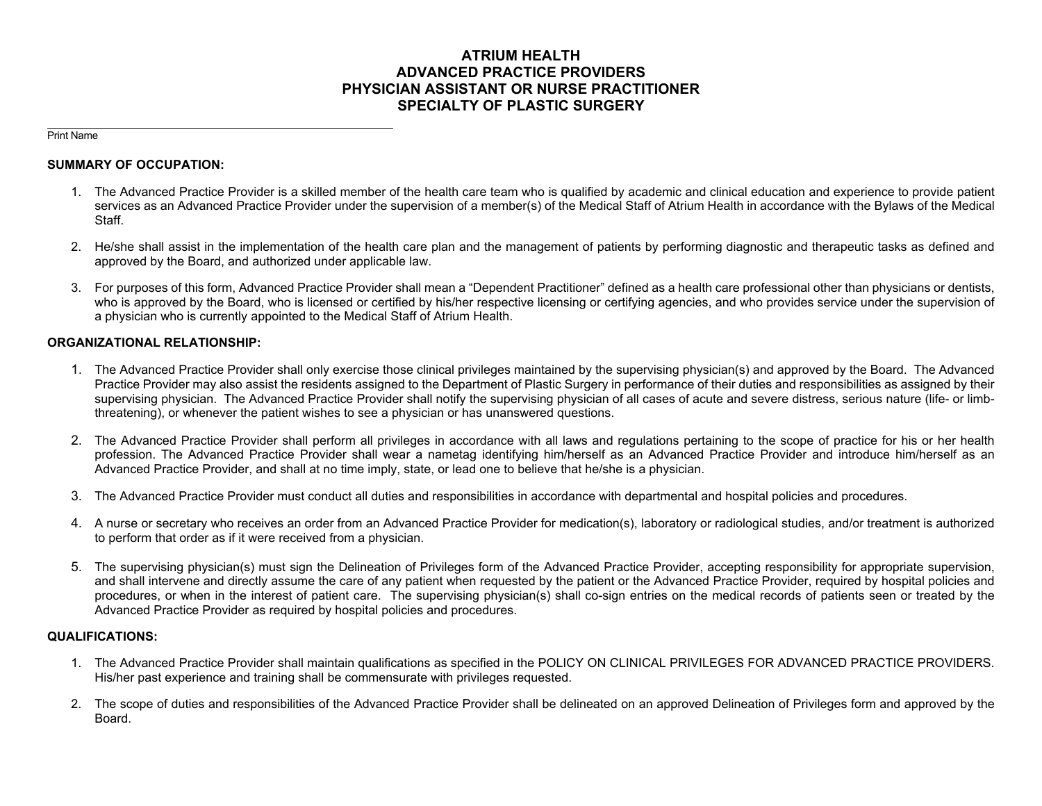# **ATRIUM HEALTH ADVANCED PRACTICE PROVIDERS PHYSICIAN ASSISTANT OR NURSE PRACTITIONER SPECIALTY OF PLASTIC SURGERY**

Print Name

#### **SUMMARY OF OCCUPATION:**

- 1. The Advanced Practice Provider is a skilled member of the health care team who is qualified by academic and clinical education and experience to provide patient services as an Advanced Practice Provider under the supervision of a member(s) of the Medical Staff of Atrium Health in accordance with the Bylaws of the Medical Staff.
- 2. He/she shall assist in the implementation of the health care plan and the management of patients by performing diagnostic and therapeutic tasks as defined and approved by the Board, and authorized under applicable law.
- 3. For purposes of this form, Advanced Practice Provider shall mean a "Dependent Practitioner" defined as a health care professional other than physicians or dentists, who is approved by the Board, who is licensed or certified by his/her respective licensing or certifying agencies, and who provides service under the supervision of a physician who is currently appointed to the Medical Staff of Atrium Health.

## **ORGANIZATIONAL RELATIONSHIP:**

- 1. The Advanced Practice Provider shall only exercise those clinical privileges maintained by the supervising physician(s) and approved by the Board. The Advanced Practice Provider may also assist the residents assigned to the Department of Plastic Surgery in performance of their duties and responsibilities as assigned by their supervising physician. The Advanced Practice Provider shall notify the supervising physician of all cases of acute and severe distress, serious nature (life- or limbthreatening), or whenever the patient wishes to see a physician or has unanswered questions.
- 2. The Advanced Practice Provider shall perform all privileges in accordance with all laws and regulations pertaining to the scope of practice for his or her health profession. The Advanced Practice Provider shall wear a nametag identifying him/herself as an Advanced Practice Provider and introduce him/herself as an Advanced Practice Provider, and shall at no time imply, state, or lead one to believe that he/she is a physician.
- 3. The Advanced Practice Provider must conduct all duties and responsibilities in accordance with departmental and hospital policies and procedures.
- 4. A nurse or secretary who receives an order from an Advanced Practice Provider for medication(s), laboratory or radiological studies, and/or treatment is authorized to perform that order as if it were received from a physician.
- 5. The supervising physician(s) must sign the Delineation of Privileges form of the Advanced Practice Provider, accepting responsibility for appropriate supervision, and shall intervene and directly assume the care of any patient when requested by the patient or the Advanced Practice Provider, required by hospital policies and procedures, or when in the interest of patient care. The supervising physician(s) shall co-sign entries on the medical records of patients seen or treated by the Advanced Practice Provider as required by hospital policies and procedures.

# **QUALIFICATIONS:**

- 1. The Advanced Practice Provider shall maintain qualifications as specified in the POLICY ON CLINICAL PRIVILEGES FOR ADVANCED PRACTICE PROVIDERS. His/her past experience and training shall be commensurate with privileges requested.
- 2. The scope of duties and responsibilities of the Advanced Practice Provider shall be delineated on an approved Delineation of Privileges form and approved by the Board.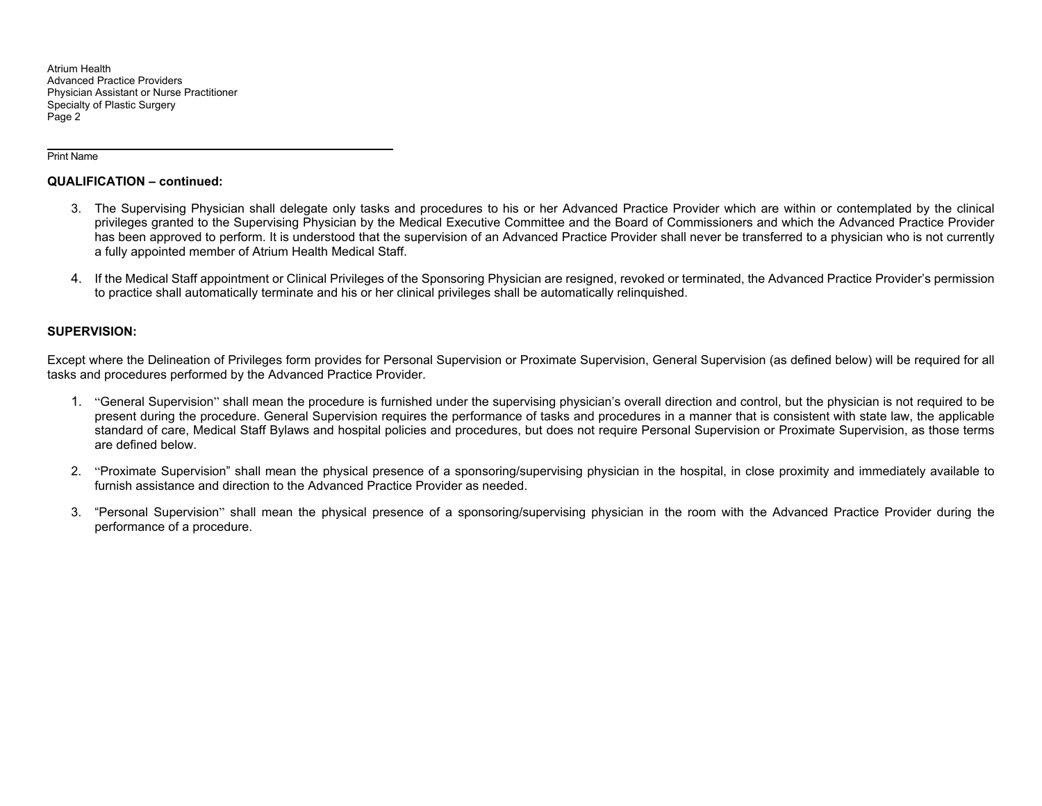Atrium Health Advanced Practice Providers Physician Assistant or Nurse Practitioner Specialty of Plastic Surgery Page 2

Print Name

#### **QUALIFICATION – continued:**

- 3. The Supervising Physician shall delegate only tasks and procedures to his or her Advanced Practice Provider which are within or contemplated by the clinical privileges granted to the Supervising Physician by the Medical Executive Committee and the Board of Commissioners and which the Advanced Practice Provider has been approved to perform. It is understood that the supervision of an Advanced Practice Provider shall never be transferred to a physician who is not currently a fully appointed member of Atrium Health Medical Staff.
- 4. If the Medical Staff appointment or Clinical Privileges of the Sponsoring Physician are resigned, revoked or terminated, the Advanced Practice Provider's permission to practice shall automatically terminate and his or her clinical privileges shall be automatically relinquished.

## **SUPERVISION:**

Except where the Delineation of Privileges form provides for Personal Supervision or Proximate Supervision, General Supervision (as defined below) will be required for all tasks and procedures performed by the Advanced Practice Provider.

- 1. "General Supervision" shall mean the procedure is furnished under the supervising physician's overall direction and control, but the physician is not required to be present during the procedure. General Supervision requires the performance of tasks and procedures in a manner that is consistent with state law, the applicable standard of care, Medical Staff Bylaws and hospital policies and procedures, but does not require Personal Supervision or Proximate Supervision, as those terms are defined below.
- 2. "Proximate Supervision" shall mean the physical presence of a sponsoring/supervising physician in the hospital, in close proximity and immediately available to furnish assistance and direction to the Advanced Practice Provider as needed.
- 3. "Personal Supervision" shall mean the physical presence of a sponsoring/supervising physician in the room with the Advanced Practice Provider during the performance of a procedure.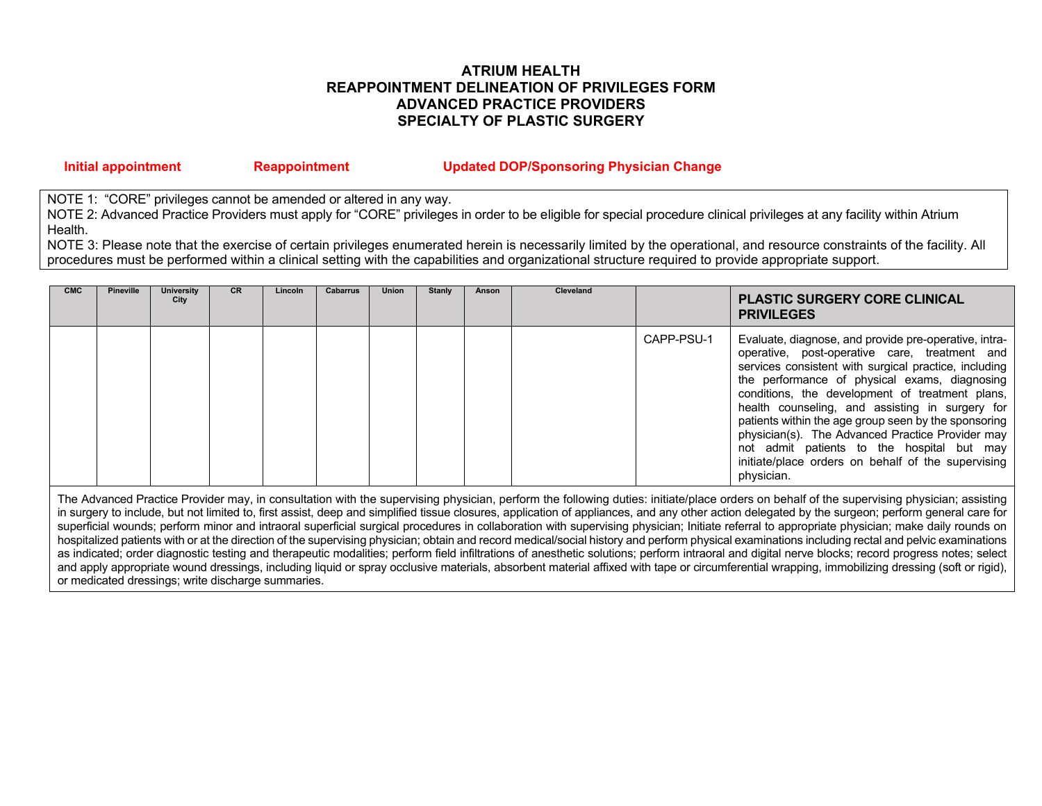# **ATRIUM HEALTH REAPPOINTMENT DELINEATION OF PRIVILEGES FORM ADVANCED PRACTICE PROVIDERS SPECIALTY OF PLASTIC SURGERY**

| Initial appointment | <b>Reappointment</b> | <b>Updated DOP/Sponsoring Physician Change</b> |
|---------------------|----------------------|------------------------------------------------|
|---------------------|----------------------|------------------------------------------------|

NOTE 1: "CORE" privileges cannot be amended or altered in any way.

NOTE 2: Advanced Practice Providers must apply for "CORE" privileges in order to be eligible for special procedure clinical privileges at any facility within Atrium Health.

NOTE 3: Please note that the exercise of certain privileges enumerated herein is necessarily limited by the operational, and resource constraints of the facility. All procedures must be performed within a clinical setting with the capabilities and organizational structure required to provide appropriate support.

| <b>CMC</b> | <b>Pineville</b> | University<br>City | CR. | Lincoln | Cabarrus | <b>Union</b> | Stanly | Anson | Cleveland |            | <b>PLASTIC SURGERY CORE CLINICAL</b><br><b>PRIVILEGES</b>                                                                                                                                                                                                                                                                                                                                                                                                                                                                                            |
|------------|------------------|--------------------|-----|---------|----------|--------------|--------|-------|-----------|------------|------------------------------------------------------------------------------------------------------------------------------------------------------------------------------------------------------------------------------------------------------------------------------------------------------------------------------------------------------------------------------------------------------------------------------------------------------------------------------------------------------------------------------------------------------|
|            |                  |                    |     |         |          |              |        |       |           | CAPP-PSU-1 | Evaluate, diagnose, and provide pre-operative, intra-<br>operative, post-operative care, treatment and<br>services consistent with surgical practice, including<br>the performance of physical exams, diagnosing<br>conditions, the development of treatment plans,<br>health counseling, and assisting in surgery for<br>patients within the age group seen by the sponsoring<br>physician(s). The Advanced Practice Provider may<br>not admit patients to the hospital but may<br>initiate/place orders on behalf of the supervising<br>physician. |

The Advanced Practice Provider may, in consultation with the supervising physician, perform the following duties: initiate/place orders on behalf of the supervising physician; assisting in surgery to include, but not limited to, first assist, deep and simplified tissue closures, application of appliances, and any other action delegated by the surgeon; perform general care for superficial wounds; perform minor and intraoral superficial surgical procedures in collaboration with supervising physician; Initiate referral to appropriate physician; make daily rounds on hospitalized patients with or at the direction of the supervising physician; obtain and record medical/social history and perform physical examinations including rectal and pelvic examinations as indicated; order diagnostic testing and therapeutic modalities; perform field infiltrations of anesthetic solutions; perform intraoral and digital nerve blocks; record progress notes; select and apply appropriate wound dressings, including liquid or spray occlusive materials, absorbent material affixed with tape or circumferential wrapping, immobilizing dressing (soft or rigid), or medicated dressings; write discharge summaries.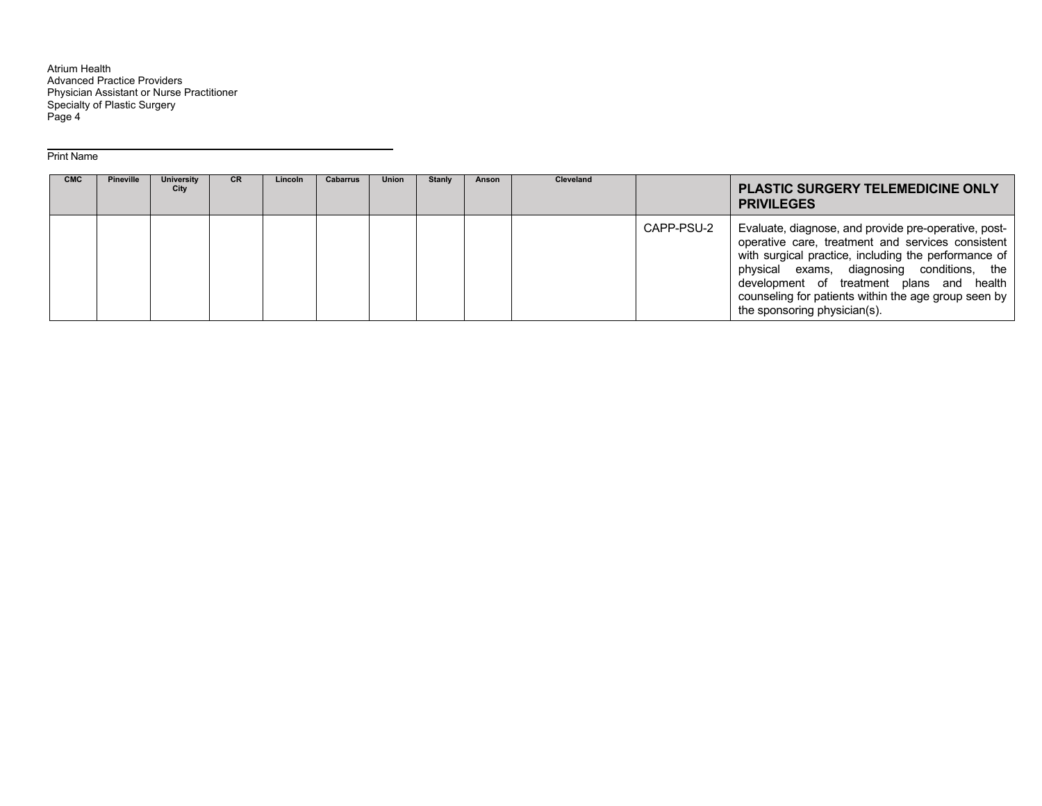Atrium Health Advanced Practice Providers Physician Assistant or Nurse Practitioner Specialty of Plastic Surgery Page 4

#### Print Name

| <b>CMC</b> | <b>Pineville</b> | <b>University</b><br>City | <b>CR</b> | Lincoln | <b>Cabarrus</b> | <b>Union</b> | <b>Stanly</b> | Anson | <b>Cleveland</b> |            | <b>PLASTIC SURGERY TELEMEDICINE ONLY</b><br><b>PRIVILEGES</b>                                                                                                                                                                                                                                                                                        |
|------------|------------------|---------------------------|-----------|---------|-----------------|--------------|---------------|-------|------------------|------------|------------------------------------------------------------------------------------------------------------------------------------------------------------------------------------------------------------------------------------------------------------------------------------------------------------------------------------------------------|
|            |                  |                           |           |         |                 |              |               |       |                  | CAPP-PSU-2 | Evaluate, diagnose, and provide pre-operative, post-<br>operative care, treatment and services consistent<br>with surgical practice, including the performance of<br>physical exams, diagnosing conditions, the<br>development of treatment plans and health<br>counseling for patients within the age group seen by<br>the sponsoring physician(s). |